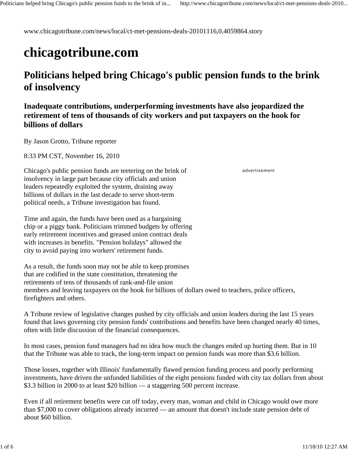www.chicagotribune.com/news/local/ct-met-pensions-deals-20101116,0,4059864.story

# **chicagotribune.com**

## **Politicians helped bring Chicago's public pension funds to the brink of insolvency**

### **Inadequate contributions, underperforming investments have also jeopardized the retirement of tens of thousands of city workers and put taxpayers on the hook for billions of dollars**

By Jason Grotto, Tribune reporter

8:33 PM CST, November 16, 2010

Chicago's public pension funds are teetering on the brink of insolvency in large part because city officials and union leaders repeatedly exploited the system, draining away billions of dollars in the last decade to serve short-term political needs, a Tribune investigation has found.

Time and again, the funds have been used as a bargaining chip or a piggy bank. Politicians trimmed budgets by offering early retirement incentives and greased union contract deals with increases in benefits. "Pension holidays" allowed the city to avoid paying into workers' retirement funds.

As a result, the funds soon may not be able to keep promises that are codified in the state constitution, threatening the retirements of tens of thousands of rank-and-file union members and leaving taxpayers on the hook for billions of dollars owed to teachers, police officers, firefighters and others.

A Tribune review of legislative changes pushed by city officials and union leaders during the last 15 years found that laws governing city pension funds' contributions and benefits have been changed nearly 40 times, often with little discussion of the financial consequences.

In most cases, pension fund managers had no idea how much the changes ended up hurting them. But in 10 that the Tribune was able to track, the long-term impact on pension funds was more than \$3.6 billion.

Those losses, together with Illinois' fundamentally flawed pension funding process and poorly performing investments, have driven the unfunded liabilities of the eight pensions funded with city tax dollars from about \$3.3 billion in 2000 to at least \$20 billion — a staggering 500 percent increase.

Even if all retirement benefits were cut off today, every man, woman and child in Chicago would owe more than \$7,000 to cover obligations already incurred — an amount that doesn't include state pension debt of about \$60 billion.

advertisement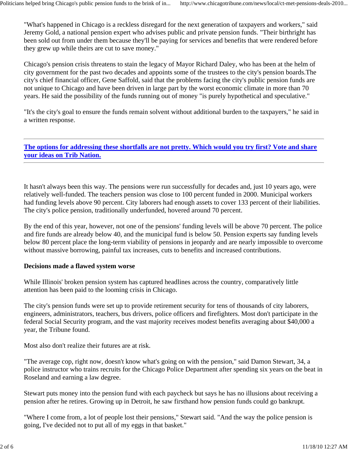"What's happened in Chicago is a reckless disregard for the next generation of taxpayers and workers," said Jeremy Gold, a national pension expert who advises public and private pension funds. "Their birthright has been sold out from under them because they'll be paying for services and benefits that were rendered before they grew up while theirs are cut to save money."

Chicago's pension crisis threatens to stain the legacy of Mayor Richard Daley, who has been at the helm of city government for the past two decades and appoints some of the trustees to the city's pension boards.The city's chief financial officer, Gene Saffold, said that the problems facing the city's public pension funds are not unique to Chicago and have been driven in large part by the worst economic climate in more than 70 years. He said the possibility of the funds running out of money "is purely hypothetical and speculative."

"It's the city's goal to ensure the funds remain solvent without additional burden to the taxpayers," he said in a written response.

**The options for addressing these shortfalls are not pretty. Which would you try first? Vote and share your ideas on Trib Nation.**

It hasn't always been this way. The pensions were run successfully for decades and, just 10 years ago, were relatively well-funded. The teachers pension was close to 100 percent funded in 2000. Municipal workers had funding levels above 90 percent. City laborers had enough assets to cover 133 percent of their liabilities. The city's police pension, traditionally underfunded, hovered around 70 percent.

By the end of this year, however, not one of the pensions' funding levels will be above 70 percent. The police and fire funds are already below 40, and the municipal fund is below 50. Pension experts say funding levels below 80 percent place the long-term viability of pensions in jeopardy and are nearly impossible to overcome without massive borrowing, painful tax increases, cuts to benefits and increased contributions.

#### **Decisions made a flawed system worse**

While Illinois' broken pension system has captured headlines across the country, comparatively little attention has been paid to the looming crisis in Chicago.

The city's pension funds were set up to provide retirement security for tens of thousands of city laborers, engineers, administrators, teachers, bus drivers, police officers and firefighters. Most don't participate in the federal Social Security program, and the vast majority receives modest benefits averaging about \$40,000 a year, the Tribune found.

Most also don't realize their futures are at risk.

"The average cop, right now, doesn't know what's going on with the pension," said Damon Stewart, 34, a police instructor who trains recruits for the Chicago Police Department after spending six years on the beat in Roseland and earning a law degree.

Stewart puts money into the pension fund with each paycheck but says he has no illusions about receiving a pension after he retires. Growing up in Detroit, he saw firsthand how pension funds could go bankrupt.

"Where I come from, a lot of people lost their pensions," Stewart said. "And the way the police pension is going, I've decided not to put all of my eggs in that basket."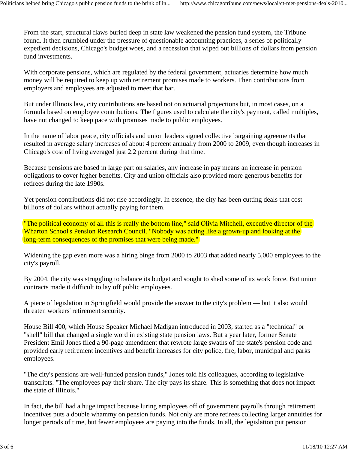From the start, structural flaws buried deep in state law weakened the pension fund system, the Tribune found. It then crumbled under the pressure of questionable accounting practices, a series of politically expedient decisions, Chicago's budget woes, and a recession that wiped out billions of dollars from pension fund investments.

With corporate pensions, which are regulated by the federal government, actuaries determine how much money will be required to keep up with retirement promises made to workers. Then contributions from employers and employees are adjusted to meet that bar.

But under Illinois law, city contributions are based not on actuarial projections but, in most cases, on a formula based on employee contributions. The figures used to calculate the city's payment, called multiples, have not changed to keep pace with promises made to public employees.

In the name of labor peace, city officials and union leaders signed collective bargaining agreements that resulted in average salary increases of about 4 percent annually from 2000 to 2009, even though increases in Chicago's cost of living averaged just 2.2 percent during that time.

Because pensions are based in large part on salaries, any increase in pay means an increase in pension obligations to cover higher benefits. City and union officials also provided more generous benefits for retirees during the late 1990s.

Yet pension contributions did not rise accordingly. In essence, the city has been cutting deals that cost billions of dollars without actually paying for them.

"The political economy of all this is really the bottom line," said Olivia Mitchell, executive director of the Wharton School's Pension Research Council. "Nobody was acting like a grown-up and looking at the long-term consequences of the promises that were being made."

Widening the gap even more was a hiring binge from 2000 to 2003 that added nearly 5,000 employees to the city's payroll.

By 2004, the city was struggling to balance its budget and sought to shed some of its work force. But union contracts made it difficult to lay off public employees.

A piece of legislation in Springfield would provide the answer to the city's problem — but it also would threaten workers' retirement security.

House Bill 400, which House Speaker Michael Madigan introduced in 2003, started as a "technical" or "shell" bill that changed a single word in existing state pension laws. But a year later, former Senate President Emil Jones filed a 90-page amendment that rewrote large swaths of the state's pension code and provided early retirement incentives and benefit increases for city police, fire, labor, municipal and parks employees.

"The city's pensions are well-funded pension funds," Jones told his colleagues, according to legislative transcripts. "The employees pay their share. The city pays its share. This is something that does not impact the state of Illinois."

In fact, the bill had a huge impact because luring employees off of government payrolls through retirement incentives puts a double whammy on pension funds. Not only are more retirees collecting larger annuities for longer periods of time, but fewer employees are paying into the funds. In all, the legislation put pension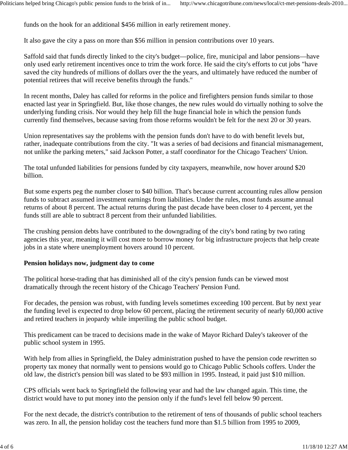funds on the hook for an additional \$456 million in early retirement money.

It also gave the city a pass on more than \$56 million in pension contributions over 10 years.

Saffold said that funds directly linked to the city's budget—police, fire, municipal and labor pensions—have only used early retirement incentives once to trim the work force. He said the city's efforts to cut jobs "have saved the city hundreds of millions of dollars over the the years, and ultimately have reduced the number of potential retirees that will receive benefits through the funds."

In recent months, Daley has called for reforms in the police and firefighters pension funds similar to those enacted last year in Springfield. But, like those changes, the new rules would do virtually nothing to solve the underlying funding crisis. Nor would they help fill the huge financial hole in which the pension funds currently find themselves, because saving from those reforms wouldn't be felt for the next 20 or 30 years.

Union representatives say the problems with the pension funds don't have to do with benefit levels but, rather, inadequate contributions from the city. "It was a series of bad decisions and financial mismanagement, not unlike the parking meters," said Jackson Potter, a staff coordinator for the Chicago Teachers' Union.

The total unfunded liabilities for pensions funded by city taxpayers, meanwhile, now hover around \$20 billion.

But some experts peg the number closer to \$40 billion. That's because current accounting rules allow pension funds to subtract assumed investment earnings from liabilities. Under the rules, most funds assume annual returns of about 8 percent. The actual returns during the past decade have been closer to 4 percent, yet the funds still are able to subtract 8 percent from their unfunded liabilities.

The crushing pension debts have contributed to the downgrading of the city's bond rating by two rating agencies this year, meaning it will cost more to borrow money for big infrastructure projects that help create jobs in a state where unemployment hovers around 10 percent.

#### **Pension holidays now, judgment day to come**

The political horse-trading that has diminished all of the city's pension funds can be viewed most dramatically through the recent history of the Chicago Teachers' Pension Fund.

For decades, the pension was robust, with funding levels sometimes exceeding 100 percent. But by next year the funding level is expected to drop below 60 percent, placing the retirement security of nearly 60,000 active and retired teachers in jeopardy while imperiling the public school budget.

This predicament can be traced to decisions made in the wake of Mayor Richard Daley's takeover of the public school system in 1995.

With help from allies in Springfield, the Daley administration pushed to have the pension code rewritten so property tax money that normally went to pensions would go to Chicago Public Schools coffers. Under the old law, the district's pension bill was slated to be \$93 million in 1995. Instead, it paid just \$10 million.

CPS officials went back to Springfield the following year and had the law changed again. This time, the district would have to put money into the pension only if the fund's level fell below 90 percent.

For the next decade, the district's contribution to the retirement of tens of thousands of public school teachers was zero. In all, the pension holiday cost the teachers fund more than \$1.5 billion from 1995 to 2009,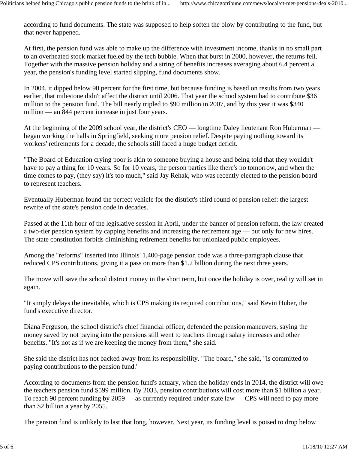according to fund documents. The state was supposed to help soften the blow by contributing to the fund, but that never happened.

At first, the pension fund was able to make up the difference with investment income, thanks in no small part to an overheated stock market fueled by the tech bubble. When that burst in 2000, however, the returns fell. Together with the massive pension holiday and a string of benefits increases averaging about 6.4 percent a year, the pension's funding level started slipping, fund documents show.

In 2004, it dipped below 90 percent for the first time, but because funding is based on results from two years earlier, that milestone didn't affect the district until 2006. That year the school system had to contribute \$36 million to the pension fund. The bill nearly tripled to \$90 million in 2007, and by this year it was \$340 million — an 844 percent increase in just four years.

At the beginning of the 2009 school year, the district's CEO — longtime Daley lieutenant Ron Huberman began working the halls in Springfield, seeking more pension relief. Despite paying nothing toward its workers' retirements for a decade, the schools still faced a huge budget deficit.

"The Board of Education crying poor is akin to someone buying a house and being told that they wouldn't have to pay a thing for 10 years. So for 10 years, the person parties like there's no tomorrow, and when the time comes to pay, (they say) it's too much," said Jay Rehak, who was recently elected to the pension board to represent teachers.

Eventually Huberman found the perfect vehicle for the district's third round of pension relief: the largest rewrite of the state's pension code in decades.

Passed at the 11th hour of the legislative session in April, under the banner of pension reform, the law created a two-tier pension system by capping benefits and increasing the retirement age — but only for new hires. The state constitution forbids diminishing retirement benefits for unionized public employees.

Among the "reforms" inserted into Illinois' 1,400-page pension code was a three-paragraph clause that reduced CPS contributions, giving it a pass on more than \$1.2 billion during the next three years.

The move will save the school district money in the short term, but once the holiday is over, reality will set in again.

"It simply delays the inevitable, which is CPS making its required contributions," said Kevin Huber, the fund's executive director.

Diana Ferguson, the school district's chief financial officer, defended the pension maneuvers, saying the money saved by not paying into the pensions still went to teachers through salary increases and other benefits. "It's not as if we are keeping the money from them," she said.

She said the district has not backed away from its responsibility. "The board," she said, "is committed to paying contributions to the pension fund."

According to documents from the pension fund's actuary, when the holiday ends in 2014, the district will owe the teachers pension fund \$599 million. By 2033, pension contributions will cost more than \$1 billion a year. To reach 90 percent funding by 2059 — as currently required under state law — CPS will need to pay more than \$2 billion a year by 2055.

The pension fund is unlikely to last that long, however. Next year, its funding level is poised to drop below